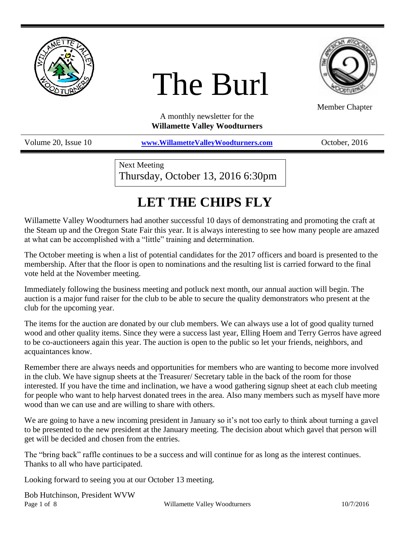

# The Burl



Member Chapter

A monthly newsletter for the **Willamette Valley Woodturners**

Volume 20, Issue 10 **[www.WillametteValleyWoodturners.com](http://www.willamettevalleywoodturners.com/)** October, 2016

Next Meeting Thursday, October 13, 2016 6:30pm

# **LET THE CHIPS FLY**

Willamette Valley Woodturners had another successful 10 days of demonstrating and promoting the craft at the Steam up and the Oregon State Fair this year. It is always interesting to see how many people are amazed at what can be accomplished with a "little" training and determination.

The October meeting is when a list of potential candidates for the 2017 officers and board is presented to the membership. After that the floor is open to nominations and the resulting list is carried forward to the final vote held at the November meeting.

Immediately following the business meeting and potluck next month, our annual auction will begin. The auction is a major fund raiser for the club to be able to secure the quality demonstrators who present at the club for the upcoming year.

The items for the auction are donated by our club members. We can always use a lot of good quality turned wood and other quality items. Since they were a success last year, Elling Hoem and Terry Gerros have agreed to be co-auctioneers again this year. The auction is open to the public so let your friends, neighbors, and acquaintances know.

Remember there are always needs and opportunities for members who are wanting to become more involved in the club. We have signup sheets at the Treasurer/ Secretary table in the back of the room for those interested. If you have the time and inclination, we have a wood gathering signup sheet at each club meeting for people who want to help harvest donated trees in the area. Also many members such as myself have more wood than we can use and are willing to share with others.

We are going to have a new incoming president in January so it's not too early to think about turning a gavel to be presented to the new president at the January meeting. The decision about which gavel that person will get will be decided and chosen from the entries.

The "bring back" raffle continues to be a success and will continue for as long as the interest continues. Thanks to all who have participated.

Looking forward to seeing you at our October 13 meeting.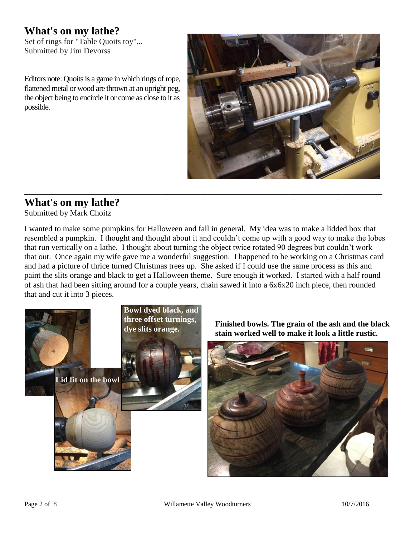## **What's on my lathe?**

Set of rings for "Table Quoits toy"... Submitted by Jim Devorss

Editors note: Quoits is a game in which rings of rope, flattened metal or wood are thrown at an upright peg, the object being to encircle it or come as close to it as possible.



## **What's on my lathe?**

Submitted by Mark Choitz

I wanted to make some pumpkins for Halloween and fall in general. My idea was to make a lidded box that resembled a pumpkin. I thought and thought about it and couldn't come up with a good way to make the lobes that run vertically on a lathe. I thought about turning the object twice rotated 90 degrees but couldn't work that out. Once again my wife gave me a wonderful suggestion. I happened to be working on a Christmas card and had a picture of thrice turned Christmas trees up. She asked if I could use the same process as this and paint the slits orange and black to get a Halloween theme. Sure enough it worked. I started with a half round of ash that had been sitting around for a couple years, chain sawed it into a 6x6x20 inch piece, then rounded that and cut it into 3 pieces.

\_\_\_\_\_\_\_\_\_\_\_\_\_\_\_\_\_\_\_\_\_\_\_\_\_\_\_\_\_\_\_\_\_\_\_\_\_\_\_\_\_\_\_\_\_\_\_\_\_\_\_\_\_\_\_\_\_\_\_\_\_\_\_\_\_\_\_\_\_\_\_\_\_\_\_\_\_\_\_\_\_\_\_\_\_\_\_\_



**Finished bowls. The grain of the ash and the black stain worked well to make it look a little rustic.**

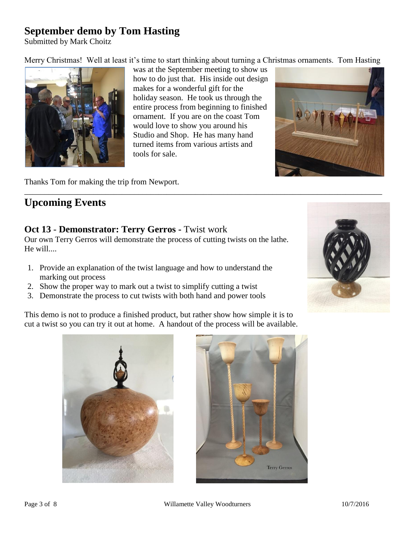## **September demo by Tom Hasting**

Submitted by Mark Choitz

Merry Christmas! Well at least it's time to start thinking about turning a Christmas ornaments. Tom Hasting



was at the September meeting to show us how to do just that. His inside out design makes for a wonderful gift for the holiday season. He took us through the entire process from beginning to finished ornament. If you are on the coast Tom would love to show you around his Studio and Shop. He has many hand turned items from various artists and tools for sale.



Thanks Tom for making the trip from Newport.

## **Upcoming Events**

#### **Oct 13** - **Demonstrator: Terry Gerros -** Twist work

Our own Terry Gerros will demonstrate the process of cutting twists on the lathe. He will....

- 1. Provide an explanation of the twist language and how to understand the marking out process
- 2. Show the proper way to mark out a twist to simplify cutting a twist
- 3. Demonstrate the process to cut twists with both hand and power tools

This demo is not to produce a finished product, but rather show how simple it is to cut a twist so you can try it out at home. A handout of the process will be available.





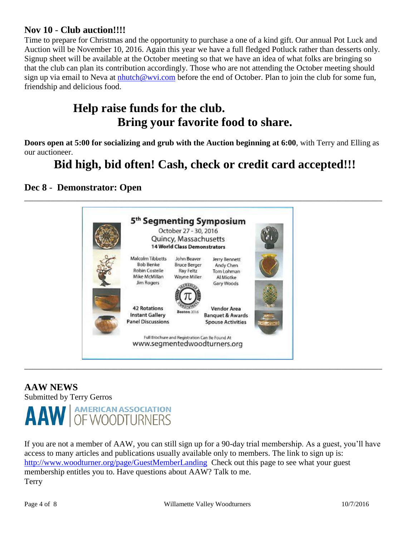#### **Nov 10** - **Club auction!!!!**

Time to prepare for Christmas and the opportunity to purchase a one of a kind gift. Our annual Pot Luck and Auction will be November 10, 2016. Again this year we have a full fledged Potluck rather than desserts only. Signup sheet will be available at the October meeting so that we have an idea of what folks are bringing so that the club can plan its contribution accordingly. Those who are not attending the October meeting should sign up via email to Neva at [nhutch@wvi.com](nhutch@wvi.com%20) before the end of October. Plan to join the club for some fun, friendship and delicious food.

## **Help raise funds for the club. Bring your favorite food to share.**

**Doors open at 5:00 for socializing and grub with the Auction beginning at 6:00**, with Terry and Elling as our auctioneer.

# **Bid high, bid often! Cash, check or credit card accepted!!!**

#### **Dec 8** - **Demonstrator: Open**



## **AAW NEWS**

Submitted by Terry Gerros



If you are not a member of AAW, you can still sign up for a 90-day trial membership. As a guest, you'll have access to many articles and publications usually available only to members. The link to sign up is: <http://www.woodturner.org/page/GuestMemberLanding>Check out this page to see what your guest membership entitles you to. Have questions about AAW? Talk to me. Terry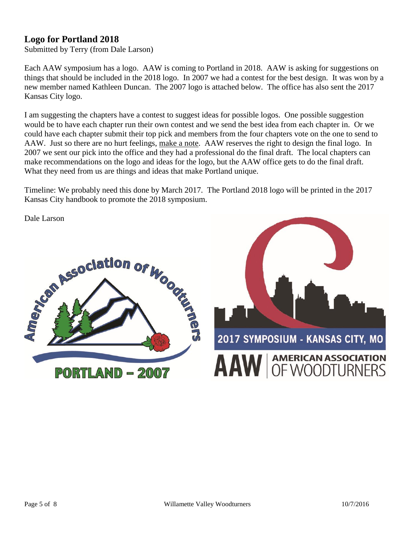#### **Logo for Portland 2018**

Submitted by Terry (from Dale Larson)

Each AAW symposium has a logo. AAW is coming to Portland in 2018. AAW is asking for suggestions on things that should be included in the 2018 logo. In 2007 we had a contest for the best design. It was won by a new member named Kathleen Duncan. The 2007 logo is attached below. The office has also sent the 2017 Kansas City logo.

I am suggesting the chapters have a contest to suggest ideas for possible logos. One possible suggestion would be to have each chapter run their own contest and we send the best idea from each chapter in. Or we could have each chapter submit their top pick and members from the four chapters vote on the one to send to AAW. Just so there are no hurt feelings, make a note. AAW reserves the right to design the final logo. In 2007 we sent our pick into the office and they had a professional do the final draft. The local chapters can make recommendations on the logo and ideas for the logo, but the AAW office gets to do the final draft. What they need from us are things and ideas that make Portland unique.

Timeline: We probably need this done by March 2017. The Portland 2018 logo will be printed in the 2017 Kansas City handbook to promote the 2018 symposium.

Dale Larson



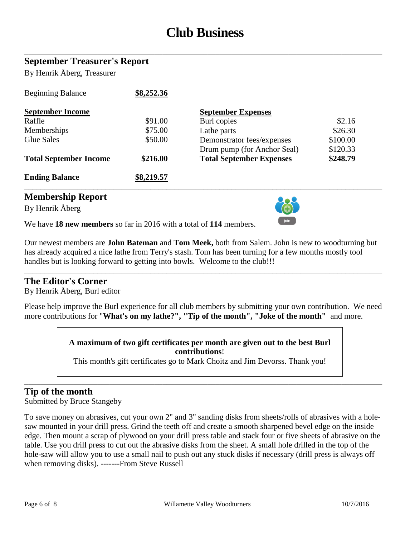# **Club Business**

\_\_\_\_\_\_\_\_\_\_\_\_\_\_\_\_\_\_\_\_\_\_\_\_\_\_\_\_\_\_\_\_\_\_\_\_\_\_\_\_\_\_\_\_\_\_\_\_\_\_\_\_\_\_\_\_\_\_\_\_\_\_\_\_\_\_\_\_\_\_\_\_\_\_\_\_\_\_\_\_\_\_\_\_\_\_\_\_

#### **September Treasurer's Report**

By Henrik Åberg, Treasurer

| <b>Beginning Balance</b>      | \$8,252.36 |                                 |          |
|-------------------------------|------------|---------------------------------|----------|
| <b>September Income</b>       |            | <b>September Expenses</b>       |          |
| Raffle                        | \$91.00    | Burl copies                     | \$2.16   |
| Memberships                   | \$75.00    | Lathe parts                     | \$26.30  |
| Glue Sales                    | \$50.00    | Demonstrator fees/expenses      | \$100.00 |
|                               |            | Drum pump (for Anchor Seal)     | \$120.33 |
| <b>Total September Income</b> | \$216.00   | <b>Total September Expenses</b> | \$248.79 |
| <b>Ending Balance</b>         | \$8,219.57 |                                 |          |

#### **Membership Report**

By Henrik Åberg



We have **18 new members** so far in 2016 with a total of **114** members.

Our newest members are **John Bateman** and **Tom Meek,** both from Salem. John is new to woodturning but has already acquired a nice lathe from Terry's stash. Tom has been turning for a few months mostly tool handles but is looking forward to getting into bowls. Welcome to the club!!!

\_\_\_\_\_\_\_\_\_\_\_\_\_\_\_\_\_\_\_\_\_\_\_\_\_\_\_\_\_\_\_\_\_\_\_\_\_\_\_\_\_\_\_\_\_\_\_\_\_\_\_\_\_\_\_\_\_\_\_\_\_\_\_\_\_\_\_\_\_\_\_\_\_\_\_\_\_\_\_\_\_\_\_\_\_\_\_\_

\_\_\_\_\_\_\_\_\_\_\_\_\_\_\_\_\_\_\_\_\_\_\_\_\_\_\_\_\_\_\_\_\_\_\_\_\_\_\_\_\_\_\_\_\_\_\_\_\_\_\_\_\_\_\_\_\_\_\_\_\_\_\_\_\_\_\_\_\_\_\_\_\_\_\_\_\_\_\_\_\_\_\_\_\_\_\_\_

#### **The Editor's Corner**

By Henrik Åberg, Burl editor

Please help improve the Burl experience for all club members by submitting your own contribution. We need more contributions for "**What's on my lathe?", "Tip of the month", "Joke of the month"** and more.

> **A maximum of two gift certificates per month are given out to the best Burl contributions**!

This month's gift certificates go to Mark Choitz and Jim Devorss. Thank you!

\_\_\_\_\_\_\_\_\_\_\_\_\_\_\_\_\_\_\_\_\_\_\_\_\_\_\_\_\_\_\_\_\_\_\_\_\_\_\_\_\_\_\_\_\_\_\_\_\_\_\_\_\_\_\_\_\_\_\_\_\_\_\_\_\_\_\_\_\_\_\_\_\_\_\_\_\_\_\_\_\_\_\_\_\_\_\_\_

#### **Tip of the month**

Submitted by Bruce Stangeby

To save money on abrasives, cut your own 2" and 3" sanding disks from sheets/rolls of abrasives with a holesaw mounted in your drill press. Grind the teeth off and create a smooth sharpened bevel edge on the inside edge. Then mount a scrap of plywood on your drill press table and stack four or five sheets of abrasive on the table. Use you drill press to cut out the abrasive disks from the sheet. A small hole drilled in the top of the hole-saw will allow you to use a small nail to push out any stuck disks if necessary (drill press is always off when removing disks). -------From Steve Russell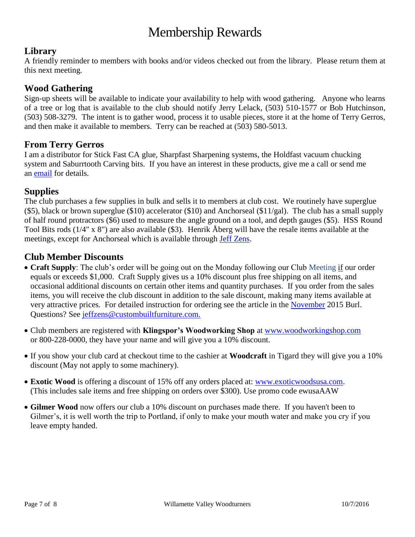# Membership Rewards

### **Library**

A friendly reminder to members with books and/or videos checked out from the library. Please return them at this next meeting.

#### **Wood Gathering**

Sign-up sheets will be available to indicate your availability to help with wood gathering. Anyone who learns of a tree or log that is available to the club should notify Jerry Lelack, (503) 510-1577 or Bob Hutchinson, (503) 508-3279. The intent is to gather wood, process it to usable pieces, store it at the home of Terry Gerros, and then make it available to members. Terry can be reached at (503) 580-5013.

#### **From Terry Gerros**

I am a distributor for Stick Fast CA glue, Sharpfast Sharpening systems, the Holdfast vacuum chucking system and Saburrtooth Carving bits. If you have an interest in these products, give me a call or send me an [email](mailto:gerrost@yahoo.com) for details.

#### **Supplies**

The club purchases a few supplies in bulk and sells it to members at club cost. We routinely have superglue (\$5), black or brown superglue (\$10) accelerator (\$10) and Anchorseal (\$11/gal). The club has a small supply of half round protractors (\$6) used to measure the angle ground on a tool, and depth gauges (\$5). HSS Round Tool Bits rods (1/4" x 8") are also available (\$3). Henrik Åberg will have the resale items available at the meetings, except for Anchorseal which is available through [Jeff Zens.](mailto:jszens@custombuiltfurniture.com)

#### **Club Member Discounts**

- **Craft Supply**: The club's order will be going out on the Monday following our Club Meeting if our order equals or exceeds \$1,000. Craft Supply gives us a 10% discount plus free shipping on all items, and occasional additional discounts on certain other items and quantity purchases. If you order from the sales items, you will receive the club discount in addition to the sale discount, making many items available at very attractive prices. For detailed instruction for ordering see the article in the [November](http://www.willamettevalleywoodturners.com/newsletters/2015_11_WVW_Newsletter.pdf) 2015 Burl. Questions? See [jeffzens@custombuiltfurniture.com.](mailto:jeffzens@custombuiltfurniture.com.)
- Club members are registered with **Klingspor's Woodworking Shop** at [www.woodworkingshop.com](http://www.woodworkingshop.com/)  or 800-228-0000, they have your name and will give you a 10% discount.
- If you show your club card at checkout time to the cashier at **Woodcraft** in Tigard they will give you a 10% discount (May not apply to some machinery).
- **Exotic Wood** is offering a discount of 15% off any orders placed at: [www.exoticwoodsusa.com.](http://www.exoticwoodsusa.com/) (This includes sale items and free shipping on orders over \$300). Use promo code ewusaAAW
- **Gilmer Wood** now offers our club a 10% discount on purchases made there. If you haven't been to Gilmer's, it is well worth the trip to Portland, if only to make your mouth water and make you cry if you leave empty handed.